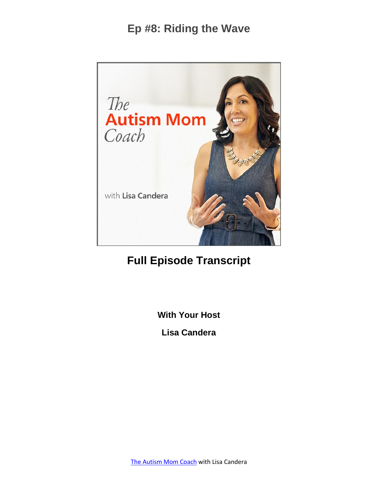

# **Full Episode Transcript**

**With Your Host**

**Lisa Candera**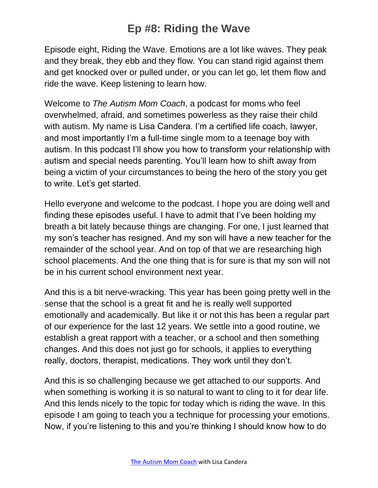Episode eight, Riding the Wave. Emotions are a lot like waves. They peak and they break, they ebb and they flow. You can stand rigid against them and get knocked over or pulled under, or you can let go, let them flow and ride the wave. Keep listening to learn how.

Welcome to *The Autism Mom Coach*, a podcast for moms who feel overwhelmed, afraid, and sometimes powerless as they raise their child with autism. My name is Lisa Candera. I'm a certified life coach, lawyer, and most importantly I'm a full-time single mom to a teenage boy with autism. In this podcast I'll show you how to transform your relationship with autism and special needs parenting. You'll learn how to shift away from being a victim of your circumstances to being the hero of the story you get to write. Let's get started.

Hello everyone and welcome to the podcast. I hope you are doing well and finding these episodes useful. I have to admit that I've been holding my breath a bit lately because things are changing. For one, I just learned that my son's teacher has resigned. And my son will have a new teacher for the remainder of the school year. And on top of that we are researching high school placements. And the one thing that is for sure is that my son will not be in his current school environment next year.

And this is a bit nerve-wracking. This year has been going pretty well in the sense that the school is a great fit and he is really well supported emotionally and academically. But like it or not this has been a regular part of our experience for the last 12 years. We settle into a good routine, we establish a great rapport with a teacher, or a school and then something changes. And this does not just go for schools, it applies to everything really, doctors, therapist, medications. They work until they don't.

And this is so challenging because we get attached to our supports. And when something is working it is so natural to want to cling to it for dear life. And this lends nicely to the topic for today which is riding the wave. In this episode I am going to teach you a technique for processing your emotions. Now, if you're listening to this and you're thinking I should know how to do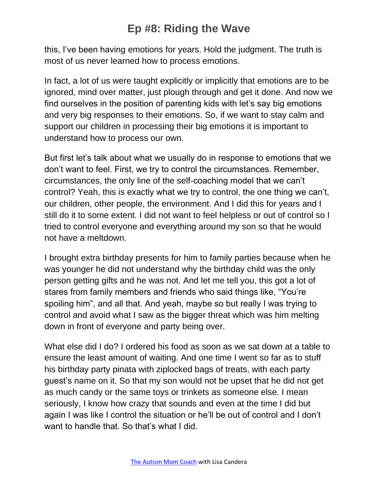this, I've been having emotions for years. Hold the judgment. The truth is most of us never learned how to process emotions.

In fact, a lot of us were taught explicitly or implicitly that emotions are to be ignored, mind over matter, just plough through and get it done. And now we find ourselves in the position of parenting kids with let's say big emotions and very big responses to their emotions. So, if we want to stay calm and support our children in processing their big emotions it is important to understand how to process our own.

But first let's talk about what we usually do in response to emotions that we don't want to feel. First, we try to control the circumstances. Remember, circumstances, the only line of the self-coaching model that we can't control? Yeah, this is exactly what we try to control, the one thing we can't, our children, other people, the environment. And I did this for years and I still do it to some extent. I did not want to feel helpless or out of control so I tried to control everyone and everything around my son so that he would not have a meltdown.

I brought extra birthday presents for him to family parties because when he was younger he did not understand why the birthday child was the only person getting gifts and he was not. And let me tell you, this got a lot of stares from family members and friends who said things like, "You're spoiling him", and all that. And yeah, maybe so but really I was trying to control and avoid what I saw as the bigger threat which was him melting down in front of everyone and party being over.

What else did I do? I ordered his food as soon as we sat down at a table to ensure the least amount of waiting. And one time I went so far as to stuff his birthday party pinata with ziplocked bags of treats, with each party guest's name on it. So that my son would not be upset that he did not get as much candy or the same toys or trinkets as someone else. I mean seriously, I know how crazy that sounds and even at the time I did but again I was like I control the situation or he'll be out of control and I don't want to handle that. So that's what I did.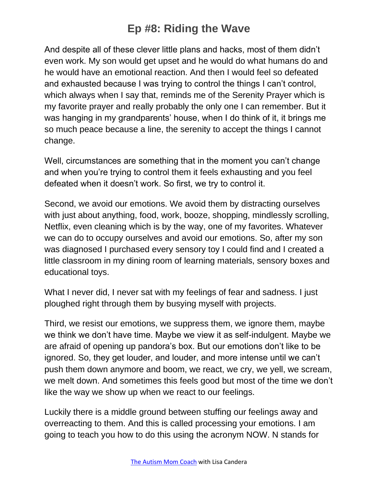And despite all of these clever little plans and hacks, most of them didn't even work. My son would get upset and he would do what humans do and he would have an emotional reaction. And then I would feel so defeated and exhausted because I was trying to control the things I can't control, which always when I say that, reminds me of the Serenity Prayer which is my favorite prayer and really probably the only one I can remember. But it was hanging in my grandparents' house, when I do think of it, it brings me so much peace because a line, the serenity to accept the things I cannot change.

Well, circumstances are something that in the moment you can't change and when you're trying to control them it feels exhausting and you feel defeated when it doesn't work. So first, we try to control it.

Second, we avoid our emotions. We avoid them by distracting ourselves with just about anything, food, work, booze, shopping, mindlessly scrolling, Netflix, even cleaning which is by the way, one of my favorites. Whatever we can do to occupy ourselves and avoid our emotions. So, after my son was diagnosed I purchased every sensory toy I could find and I created a little classroom in my dining room of learning materials, sensory boxes and educational toys.

What I never did, I never sat with my feelings of fear and sadness. I just ploughed right through them by busying myself with projects.

Third, we resist our emotions, we suppress them, we ignore them, maybe we think we don't have time. Maybe we view it as self-indulgent. Maybe we are afraid of opening up pandora's box. But our emotions don't like to be ignored. So, they get louder, and louder, and more intense until we can't push them down anymore and boom, we react, we cry, we yell, we scream, we melt down. And sometimes this feels good but most of the time we don't like the way we show up when we react to our feelings.

Luckily there is a middle ground between stuffing our feelings away and overreacting to them. And this is called processing your emotions. I am going to teach you how to do this using the acronym NOW. N stands for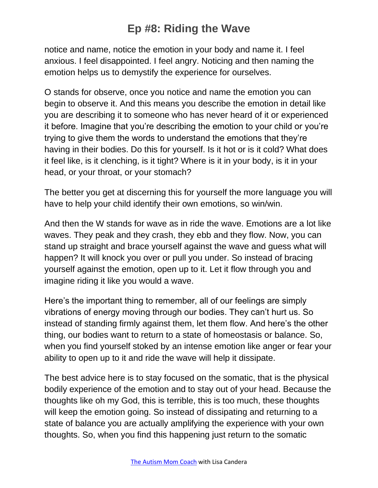notice and name, notice the emotion in your body and name it. I feel anxious. I feel disappointed. I feel angry. Noticing and then naming the emotion helps us to demystify the experience for ourselves.

O stands for observe, once you notice and name the emotion you can begin to observe it. And this means you describe the emotion in detail like you are describing it to someone who has never heard of it or experienced it before. Imagine that you're describing the emotion to your child or you're trying to give them the words to understand the emotions that they're having in their bodies. Do this for yourself. Is it hot or is it cold? What does it feel like, is it clenching, is it tight? Where is it in your body, is it in your head, or your throat, or your stomach?

The better you get at discerning this for yourself the more language you will have to help your child identify their own emotions, so win/win.

And then the W stands for wave as in ride the wave. Emotions are a lot like waves. They peak and they crash, they ebb and they flow. Now, you can stand up straight and brace yourself against the wave and guess what will happen? It will knock you over or pull you under. So instead of bracing yourself against the emotion, open up to it. Let it flow through you and imagine riding it like you would a wave.

Here's the important thing to remember, all of our feelings are simply vibrations of energy moving through our bodies. They can't hurt us. So instead of standing firmly against them, let them flow. And here's the other thing, our bodies want to return to a state of homeostasis or balance. So, when you find yourself stoked by an intense emotion like anger or fear your ability to open up to it and ride the wave will help it dissipate.

The best advice here is to stay focused on the somatic, that is the physical bodily experience of the emotion and to stay out of your head. Because the thoughts like oh my God, this is terrible, this is too much, these thoughts will keep the emotion going. So instead of dissipating and returning to a state of balance you are actually amplifying the experience with your own thoughts. So, when you find this happening just return to the somatic